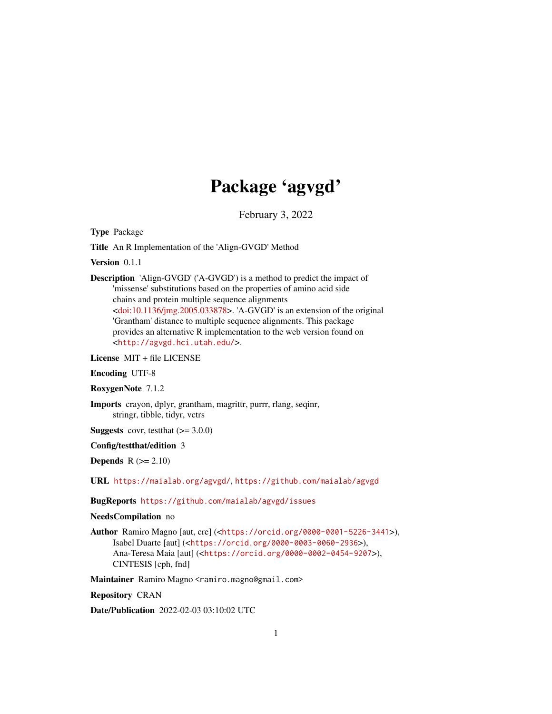## Package 'agvgd'

February 3, 2022

<span id="page-0-0"></span>Type Package

Title An R Implementation of the 'Align-GVGD' Method

Version 0.1.1

Description 'Align-GVGD' ('A-GVGD') is a method to predict the impact of 'missense' substitutions based on the properties of amino acid side chains and protein multiple sequence alignments [<doi:10.1136/jmg.2005.033878>](https://doi.org/10.1136/jmg.2005.033878). 'A-GVGD' is an extension of the original 'Grantham' distance to multiple sequence alignments. This package provides an alternative R implementation to the web version found on <<http://agvgd.hci.utah.edu/>>.

License MIT + file LICENSE

Encoding UTF-8

RoxygenNote 7.1.2

Imports crayon, dplyr, grantham, magrittr, purrr, rlang, seqinr, stringr, tibble, tidyr, vctrs

**Suggests** covr, test that  $(>= 3.0.0)$ 

Config/testthat/edition 3

Depends  $R (= 2.10)$ 

URL <https://maialab.org/agvgd/>, <https://github.com/maialab/agvgd>

BugReports <https://github.com/maialab/agvgd/issues>

NeedsCompilation no

Author Ramiro Magno [aut, cre] (<<https://orcid.org/0000-0001-5226-3441>>), Isabel Duarte [aut] (<<https://orcid.org/0000-0003-0060-2936>>), Ana-Teresa Maia [aut] (<<https://orcid.org/0000-0002-0454-9207>>), CINTESIS [cph, fnd]

Maintainer Ramiro Magno <ramiro.magno@gmail.com>

Repository CRAN

Date/Publication 2022-02-03 03:10:02 UTC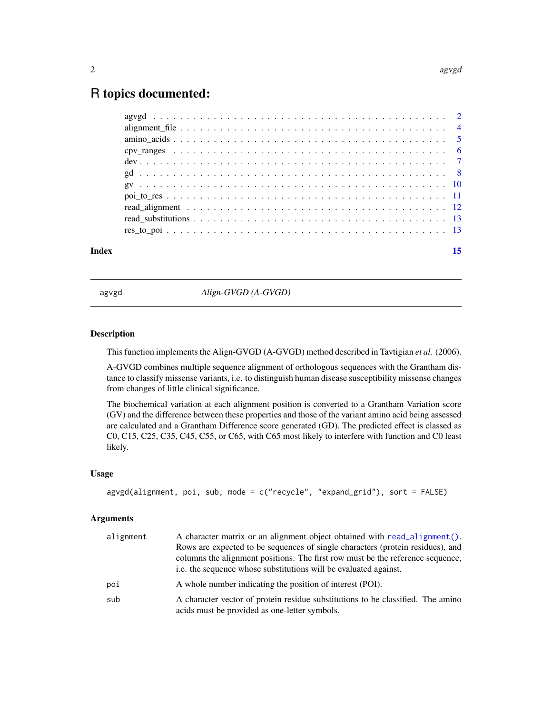### <span id="page-1-0"></span>R topics documented:

| Index | 15 |
|-------|----|
|       |    |
|       |    |
|       |    |
|       |    |
|       |    |
|       |    |
|       |    |
|       |    |
|       |    |
|       |    |
|       |    |

agvgd *Align-GVGD (A-GVGD)*

### Description

This function implements the Align-GVGD (A-GVGD) method described in Tavtigian *et al.* (2006).

A-GVGD combines multiple sequence alignment of orthologous sequences with the Grantham distance to classify missense variants, i.e. to distinguish human disease susceptibility missense changes from changes of little clinical significance.

The biochemical variation at each alignment position is converted to a Grantham Variation score (GV) and the difference between these properties and those of the variant amino acid being assessed are calculated and a Grantham Difference score generated (GD). The predicted effect is classed as C0, C15, C25, C35, C45, C55, or C65, with C65 most likely to interfere with function and C0 least likely.

### Usage

```
agvgd(alignment, poi, sub, mode = c("recycle", "expand_grid"), sort = FALSE)
```
### **Arguments**

| alignment | A character matrix or an alignment object obtained with read_alignment().                                                                                                                                                            |
|-----------|--------------------------------------------------------------------------------------------------------------------------------------------------------------------------------------------------------------------------------------|
|           | Rows are expected to be sequences of single characters (protein residues), and<br>columns the alignment positions. The first row must be the reference sequence,<br>i.e. the sequence whose substitutions will be evaluated against. |
| poi       | A whole number indicating the position of interest (POI).                                                                                                                                                                            |
| sub       | A character vector of protein residue substitutions to be classified. The amino<br>acids must be provided as one-letter symbols.                                                                                                     |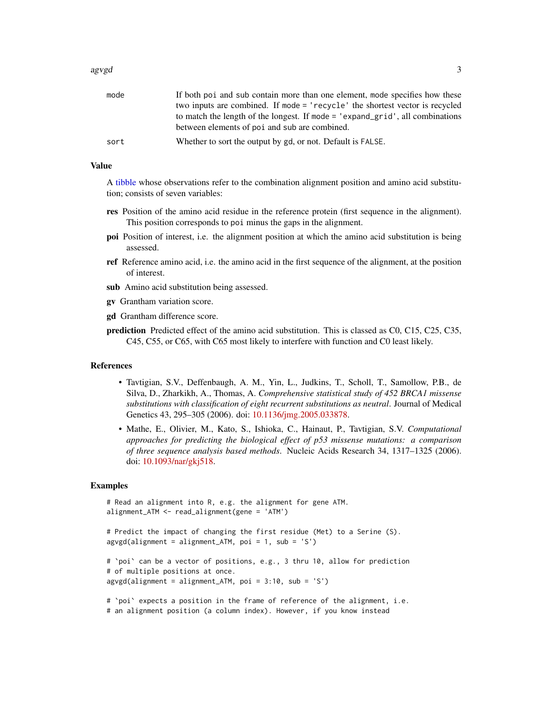### <span id="page-2-0"></span>agvgd 3

| mode | If both poi and sub contain more than one element, mode specifies how these   |
|------|-------------------------------------------------------------------------------|
|      | two inputs are combined. If mode = 'recycle' the shortest vector is recycled  |
|      | to match the length of the longest. If mode = 'expand_grid', all combinations |
|      | between elements of poi and sub are combined.                                 |
| sort | Whether to sort the output by gd, or not. Default is FALSE.                   |
|      |                                                                               |

### Value

A [tibble](#page-0-0) whose observations refer to the combination alignment position and amino acid substitution; consists of seven variables:

- res Position of the amino acid residue in the reference protein (first sequence in the alignment). This position corresponds to poi minus the gaps in the alignment.
- poi Position of interest, i.e. the alignment position at which the amino acid substitution is being assessed.
- ref Reference amino acid, i.e. the amino acid in the first sequence of the alignment, at the position of interest.
- sub Amino acid substitution being assessed.
- gv Grantham variation score.
- gd Grantham difference score.
- prediction Predicted effect of the amino acid substitution. This is classed as C0, C15, C25, C35, C45, C55, or C65, with C65 most likely to interfere with function and C0 least likely.

### References

- Tavtigian, S.V., Deffenbaugh, A. M., Yin, L., Judkins, T., Scholl, T., Samollow, P.B., de Silva, D., Zharkikh, A., Thomas, A. *Comprehensive statistical study of 452 BRCA1 missense substitutions with classification of eight recurrent substitutions as neutral*. Journal of Medical Genetics 43, 295–305 (2006). doi: [10.1136/jmg.2005.033878.](https://doi.org/10.1136/jmg.2005.033878)
- Mathe, E., Olivier, M., Kato, S., Ishioka, C., Hainaut, P., Tavtigian, S.V. *Computational approaches for predicting the biological effect of p53 missense mutations: a comparison of three sequence analysis based methods*. Nucleic Acids Research 34, 1317–1325 (2006). doi: [10.1093/nar/gkj518.](https://doi.org/10.1093/nar/gkj518)

```
# Read an alignment into R, e.g. the alignment for gene ATM.
alignment_ATM <- read_alignment(gene = 'ATM')
# Predict the impact of changing the first residue (Met) to a Serine (S).
\text{avgd}(\text{alignment} = \text{alignment\_ATM}, \text{ poi} = 1, \text{ sub} = 'S')# `poi` can be a vector of positions, e.g., 3 thru 10, allow for prediction
# of multiple positions at once.
agvgd(alignment = alignment_ATM, poi = 3:10, sub = 'S')
# `poi` expects a position in the frame of reference of the alignment, i.e.
# an alignment position (a column index). However, if you know instead
```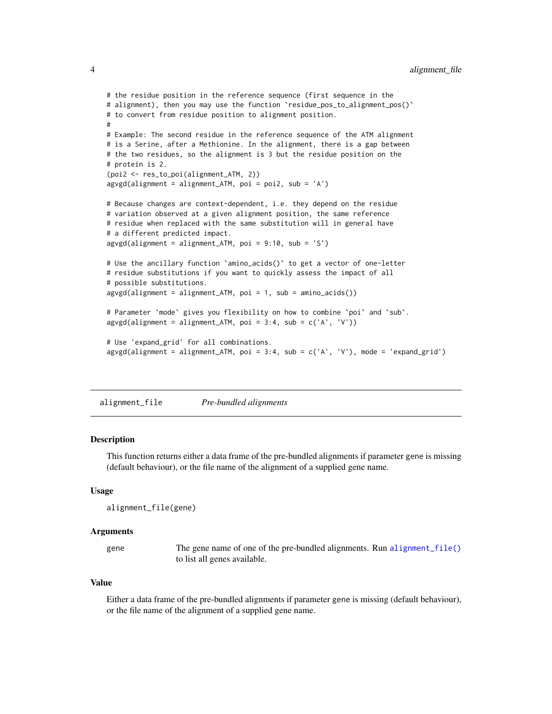```
# the residue position in the reference sequence (first sequence in the
# alignment), then you may use the function `residue_pos_to_alignment_pos()`
# to convert from residue position to alignment position.
#
# Example: The second residue in the reference sequence of the ATM alignment
# is a Serine, after a Methionine. In the alignment, there is a gap between
# the two residues, so the alignment is 3 but the residue position on the
# protein is 2.
(poi2 <- res_to_poi(alignment_ATM, 2))
agvgd(alignment = alignment_ATM, poi = poi2, sub = 'A')
# Because changes are context-dependent, i.e. they depend on the residue
# variation observed at a given alignment position, the same reference
# residue when replaced with the same substitution will in general have
# a different predicted impact.
agvgd(alignment = alignment_ATM, poi = 9:10, sub = 'S')
# Use the ancillary function `amino_acids()` to get a vector of one-letter
# residue substitutions if you want to quickly assess the impact of all
# possible substitutions.
agvgd(alignment = alignment_ATM, poi = 1, sub = amino_acids())
# Parameter `mode` gives you flexibility on how to combine `poi` and `sub`.
agvgd(alignment = alignment_ATM, poi = 3:4, sub = c('A', 'V'))
# Use 'expand_grid' for all combinations.
\arg\gcd(\text{alignment} = \text{alignment\_ATM}, \text{ poi} = 3:4, \text{ sub} = c('A', 'V'), \text{ mode} = 'expand\_grid')
```
<span id="page-3-1"></span>alignment\_file *Pre-bundled alignments*

### Description

This function returns either a data frame of the pre-bundled alignments if parameter gene is missing (default behaviour), or the file name of the alignment of a supplied gene name.

### Usage

```
alignment_file(gene)
```
### Arguments

gene The gene name of one of the pre-bundled alignments. Run [alignment\\_file\(\)](#page-3-1) to list all genes available.

#### Value

Either a data frame of the pre-bundled alignments if parameter gene is missing (default behaviour), or the file name of the alignment of a supplied gene name.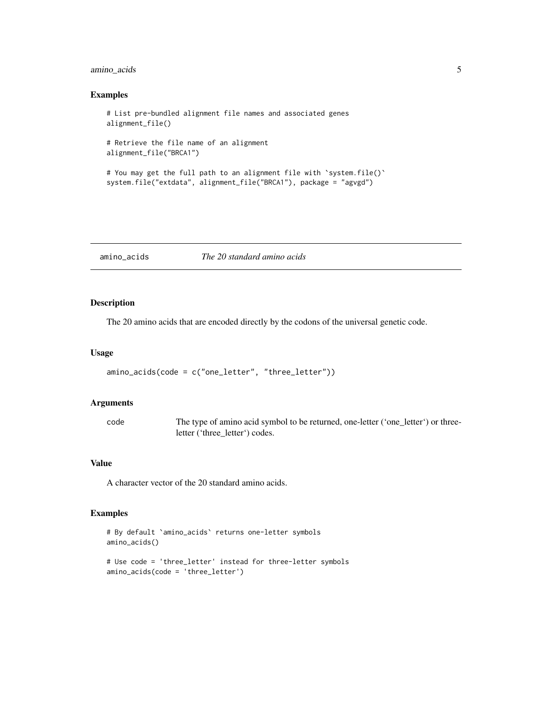### <span id="page-4-0"></span>amino\_acids 5

### Examples

```
# List pre-bundled alignment file names and associated genes
alignment_file()
# Retrieve the file name of an alignment
alignment_file("BRCA1")
# You may get the full path to an alignment file with `system.file()`
system.file("extdata", alignment_file("BRCA1"), package = "agvgd")
```
amino\_acids *The 20 standard amino acids*

### Description

The 20 amino acids that are encoded directly by the codons of the universal genetic code.

### Usage

```
amino_acids(code = c("one_letter", "three_letter"))
```
### Arguments

code The type of amino acid symbol to be returned, one-letter ('one\_letter') or threeletter ('three\_letter') codes.

### Value

A character vector of the 20 standard amino acids.

```
# By default `amino_acids` returns one-letter symbols
amino_acids()
```

```
# Use code = 'three_letter' instead for three-letter symbols
amino_acids(code = 'three_letter')
```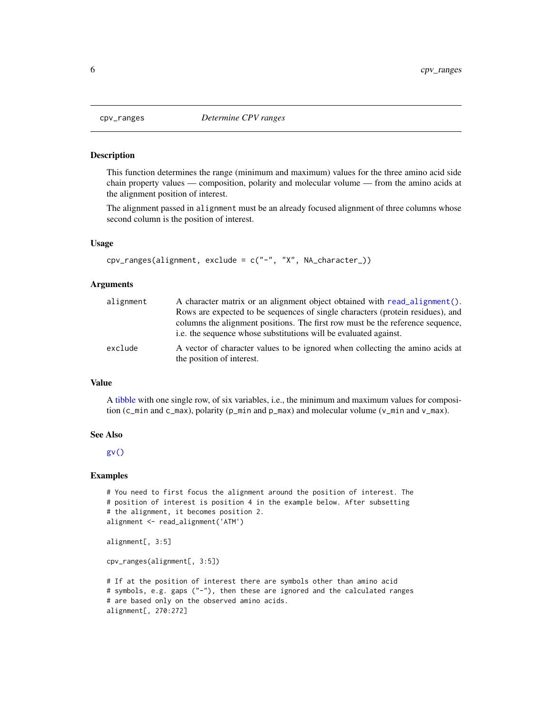#### Description

This function determines the range (minimum and maximum) values for the three amino acid side chain property values — composition, polarity and molecular volume — from the amino acids at the alignment position of interest.

The alignment passed in alignment must be an already focused alignment of three columns whose second column is the position of interest.

### Usage

```
cpv_ranges(alignment, exclude = c("-", "X", NA_character_))
```
#### Arguments

| alignment | A character matrix or an alignment object obtained with read_alignment().                                                                          |  |
|-----------|----------------------------------------------------------------------------------------------------------------------------------------------------|--|
|           | Rows are expected to be sequences of single characters (protein residues), and                                                                     |  |
|           | columns the alignment positions. The first row must be the reference sequence,<br>i.e. the sequence whose substitutions will be evaluated against. |  |
| exclude   | A vector of character values to be ignored when collecting the amino acids at<br>the position of interest.                                         |  |

### Value

A [tibble](#page-0-0) with one single row, of six variables, i.e., the minimum and maximum values for composition (c\_min and c\_max), polarity (p\_min and p\_max) and molecular volume ( $v$ \_min and  $v$ \_max).

#### See Also

[gv\(\)](#page-9-1)

```
# You need to first focus the alignment around the position of interest. The
# position of interest is position 4 in the example below. After subsetting
# the alignment, it becomes position 2.
alignment <- read_alignment('ATM')
alignment[, 3:5]
cpv_ranges(alignment[, 3:5])
# If at the position of interest there are symbols other than amino acid
# symbols, e.g. gaps ("-"), then these are ignored and the calculated ranges
# are based only on the observed amino acids.
alignment[, 270:272]
```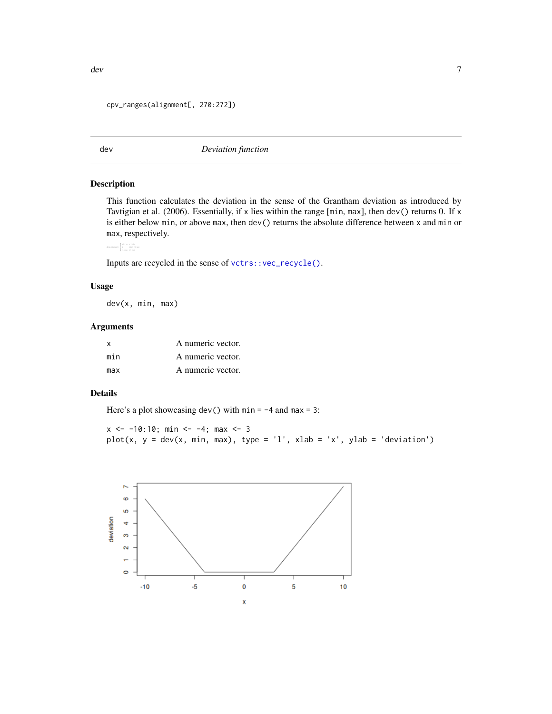### <span id="page-6-0"></span>cpv\_ranges(alignment[, 270:272])

<span id="page-6-1"></span>

dev *Deviation function*

### Description

This function calculates the deviation in the sense of the Grantham deviation as introduced by Tavtigian et al. (2006). Essentially, if x lies within the range  $[\min, \max]$ , then dev() returns 0. If x is either below min, or above max, then dev() returns the absolute difference between x and min or max, respectively.

 $\det(x, \min, \max) = \begin{cases} \begin{array}{ll} \min -x, & x < \min \\ 0, & \min \leq x \leq \max \\ x - \max, & x > \max. \end{array} \end{cases}$ 

Inputs are recycled in the sense of [vctrs::vec\\_recycle\(\)](#page-0-0).

### Usage

dev(x, min, max)

### Arguments

| X   | A numeric vector. |
|-----|-------------------|
| min | A numeric vector. |
| max | A numeric vector. |

### Details

Here's a plot showcasing dev() with  $min = -4$  and  $max = 3$ :

 $x \le -10:10; \text{ min} \le -4; \text{ max} \le 3$ plot(x,  $y = dev(x, min, max)$ , type = 'l', xlab = 'x', ylab = 'deviation')

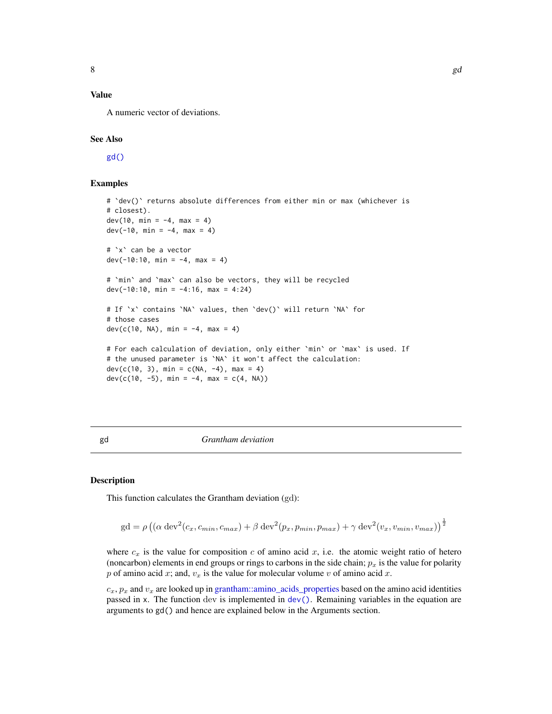### <span id="page-7-0"></span>Value

A numeric vector of deviations.

### See Also

[gd\(\)](#page-7-1)

### Examples

```
# `dev()` returns absolute differences from either min or max (whichever is
# closest).
dev(10, min = -4, max = 4)
dev(-10, min = -4, max = 4)
# `x` can be a vector
dev(-10:10, min = -4, max = 4)
# `min` and `max` can also be vectors, they will be recycled
dev(-10:10, min = -4:16, max = 4:24)
# If `x` contains `NA` values, then `dev()` will return `NA` for
# those cases
dev(c(10, NA), min = -4, max = 4)
# For each calculation of deviation, only either `min` or `max` is used. If
# the unused parameter is `NA` it won't affect the calculation:
dev(c(10, 3), min = c(NA, -4), max = 4)
dev(c(10, -5), min = -4, max = c(4, NA))
```
<span id="page-7-1"></span>gd *Grantham deviation*

#### Description

This function calculates the Grantham deviation (gd):

$$
gd = \rho \left( \left( \alpha \operatorname{dev}^2(c_x, c_{min}, c_{max}) + \beta \operatorname{dev}^2(p_x, p_{min}, p_{max}) + \gamma \operatorname{dev}^2(v_x, v_{min}, v_{max}) \right)^{\frac{1}{2}}
$$

where  $c_x$  is the value for composition c of amino acid x, i.e. the atomic weight ratio of hetero (noncarbon) elements in end groups or rings to carbons in the side chain;  $p_x$  is the value for polarity p of amino acid x; and,  $v_x$  is the value for molecular volume v of amino acid x.

 $c_x$ ,  $p_x$  and  $v_x$  are looked up in [grantham::amino\\_acids\\_properties](#page-0-0) based on the amino acid identities passed in x. The function dev is implemented in [dev\(\)](#page-6-1). Remaining variables in the equation are arguments to gd() and hence are explained below in the Arguments section.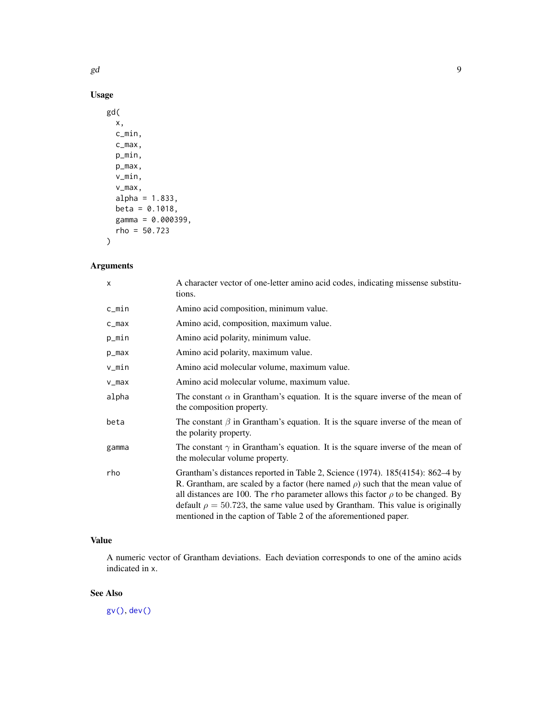### <span id="page-8-0"></span>Usage

```
gd(
  x,
  c_min,
  c_max,
  p_min,
  p_max,
  v_min,
  v_max,
  alpha = 1.833,
  beta = 0.1018,
  gamma = 0.000399,
  rho = 50.723
\mathcal{L}
```
## Arguments

| $\times$  | A character vector of one-letter amino acid codes, indicating missense substitu-<br>tions.                                                                                                                                                                                                                                                                                                                               |  |  |
|-----------|--------------------------------------------------------------------------------------------------------------------------------------------------------------------------------------------------------------------------------------------------------------------------------------------------------------------------------------------------------------------------------------------------------------------------|--|--|
| c_min     | Amino acid composition, minimum value.                                                                                                                                                                                                                                                                                                                                                                                   |  |  |
| $c_{max}$ | Amino acid, composition, maximum value.                                                                                                                                                                                                                                                                                                                                                                                  |  |  |
| p_min     | Amino acid polarity, minimum value.                                                                                                                                                                                                                                                                                                                                                                                      |  |  |
| $p_{max}$ | Amino acid polarity, maximum value.                                                                                                                                                                                                                                                                                                                                                                                      |  |  |
| v_min     | Amino acid molecular volume, maximum value.                                                                                                                                                                                                                                                                                                                                                                              |  |  |
| $v_{max}$ | Amino acid molecular volume, maximum value.                                                                                                                                                                                                                                                                                                                                                                              |  |  |
| alpha     | The constant $\alpha$ in Grantham's equation. It is the square inverse of the mean of<br>the composition property.                                                                                                                                                                                                                                                                                                       |  |  |
| beta      | The constant $\beta$ in Grantham's equation. It is the square inverse of the mean of<br>the polarity property.                                                                                                                                                                                                                                                                                                           |  |  |
| gamma     | The constant $\gamma$ in Grantham's equation. It is the square inverse of the mean of<br>the molecular volume property.                                                                                                                                                                                                                                                                                                  |  |  |
| rho       | Grantham's distances reported in Table 2, Science (1974). 185(4154): 862–4 by<br>R. Grantham, are scaled by a factor (here named $\rho$ ) such that the mean value of<br>all distances are 100. The rho parameter allows this factor $\rho$ to be changed. By<br>default $\rho = 50.723$ , the same value used by Grantham. This value is originally<br>mentioned in the caption of Table 2 of the aforementioned paper. |  |  |

### Value

A numeric vector of Grantham deviations. Each deviation corresponds to one of the amino acids indicated in x.

### See Also

[gv\(\)](#page-9-1), [dev\(\)](#page-6-1)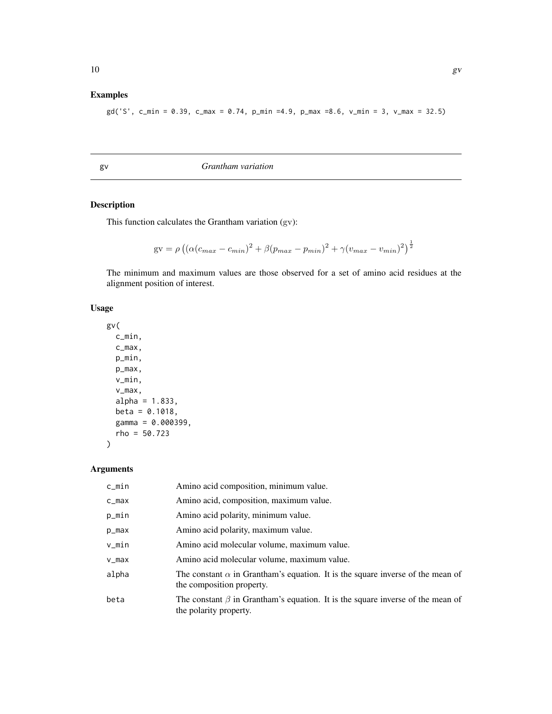### <span id="page-9-0"></span>Examples

gd('S', c\_min = 0.39, c\_max = 0.74, p\_min =4.9, p\_max =8.6, v\_min = 3, v\_max = 32.5)

<span id="page-9-1"></span>gv *Grantham variation*

### Description

This function calculates the Grantham variation (gv):

$$
gv = \rho \left( \left( \alpha (c_{max} - c_{min})^2 + \beta (p_{max} - p_{min})^2 + \gamma (v_{max} - v_{min})^2 \right)^{\frac{1}{2}}
$$

The minimum and maximum values are those observed for a set of amino acid residues at the alignment position of interest.

### Usage

```
gv(
  c_min,
 c_max,
 p_min,
 p_max,
 v_min,
  v_max,
 alpha = 1.833,beta = 0.1018,
 gamma = 0.000399,rho = 50.723
)
```
### Arguments

| c_min     | Amino acid composition, minimum value.                                                                             |
|-----------|--------------------------------------------------------------------------------------------------------------------|
| c_max     | Amino acid, composition, maximum value.                                                                            |
| p_min     | Amino acid polarity, minimum value.                                                                                |
| p_max     | Amino acid polarity, maximum value.                                                                                |
| v_min     | Amino acid molecular volume, maximum value.                                                                        |
| $v_{max}$ | Amino acid molecular volume, maximum value.                                                                        |
| alpha     | The constant $\alpha$ in Grantham's equation. It is the square inverse of the mean of<br>the composition property. |
| beta      | The constant $\beta$ in Grantham's equation. It is the square inverse of the mean of<br>the polarity property.     |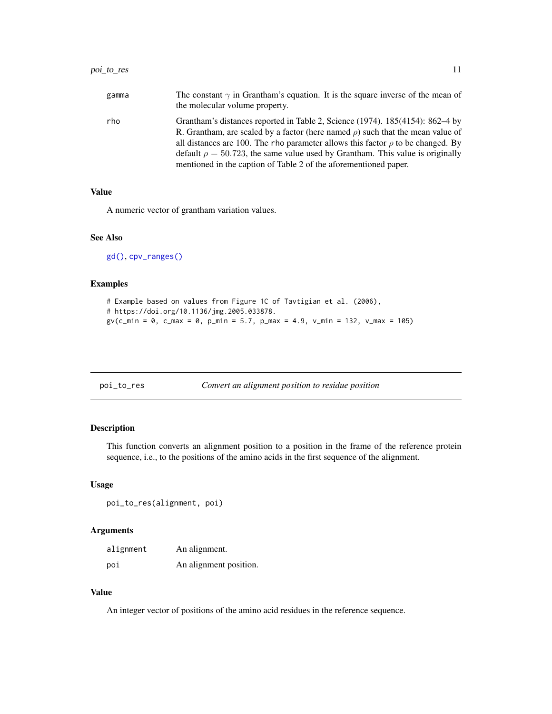### <span id="page-10-0"></span>poi\_to\_res 11

all distances are 100. The rho parameter allows this factor  $\rho$  to be changed. By default  $\rho = 50.723$ , the same value used by Grantham. This value is originally mentioned in the caption of Table 2 of the aforementioned paper.

### Value

A numeric vector of grantham variation values.

### See Also

[gd\(\)](#page-7-1), [cpv\\_ranges\(\)](#page-5-1)

### Examples

```
# Example based on values from Figure 1C of Tavtigian et al. (2006),
# https://doi.org/10.1136/jmg.2005.033878.
gv(c_{min} = 0, c_{max} = 0, p_{min} = 5.7, p_{max} = 4.9, v_{min} = 132, v_{max} = 105)
```

| poi_to_res |  |
|------------|--|
|            |  |

```
Convert an alignment position to residue position
```
### Description

This function converts an alignment position to a position in the frame of the reference protein sequence, i.e., to the positions of the amino acids in the first sequence of the alignment.

#### Usage

```
poi_to_res(alignment, poi)
```
### Arguments

| alignment | An alignment.          |
|-----------|------------------------|
| poi       | An alignment position. |

### Value

An integer vector of positions of the amino acid residues in the reference sequence.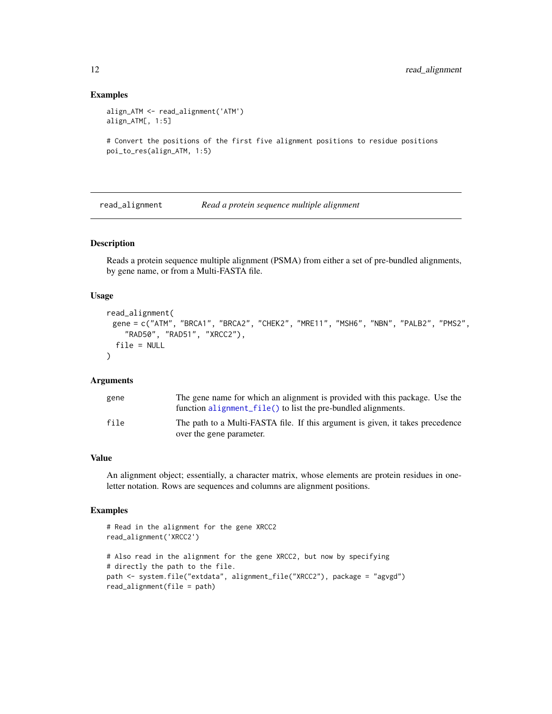### Examples

```
align_ATM <- read_alignment('ATM')
align_ATM[, 1:5]
```

```
# Convert the positions of the first five alignment positions to residue positions
poi_to_res(align_ATM, 1:5)
```
<span id="page-11-1"></span>read\_alignment *Read a protein sequence multiple alignment*

### Description

Reads a protein sequence multiple alignment (PSMA) from either a set of pre-bundled alignments, by gene name, or from a Multi-FASTA file.

### Usage

```
read_alignment(
 gene = c("ATM", "BRCA1", "BRCA2", "CHEK2", "MRE11", "MSH6", "NBN", "PALB2", "PMS2",
    "RAD50", "RAD51", "XRCC2"),
  file = NULL
)
```
### Arguments

| gene | The gene name for which an alignment is provided with this package. Use the                                |
|------|------------------------------------------------------------------------------------------------------------|
|      | function alignment file() to list the pre-bundled alignments.                                              |
| file | The path to a Multi-FASTA file. If this argument is given, it takes precedence<br>over the gene parameter. |

### Value

An alignment object; essentially, a character matrix, whose elements are protein residues in oneletter notation. Rows are sequences and columns are alignment positions.

```
# Read in the alignment for the gene XRCC2
read_alignment('XRCC2')
# Also read in the alignment for the gene XRCC2, but now by specifying
# directly the path to the file.
path <- system.file("extdata", alignment_file("XRCC2"), package = "agvgd")
read_alignment(file = path)
```
<span id="page-11-0"></span>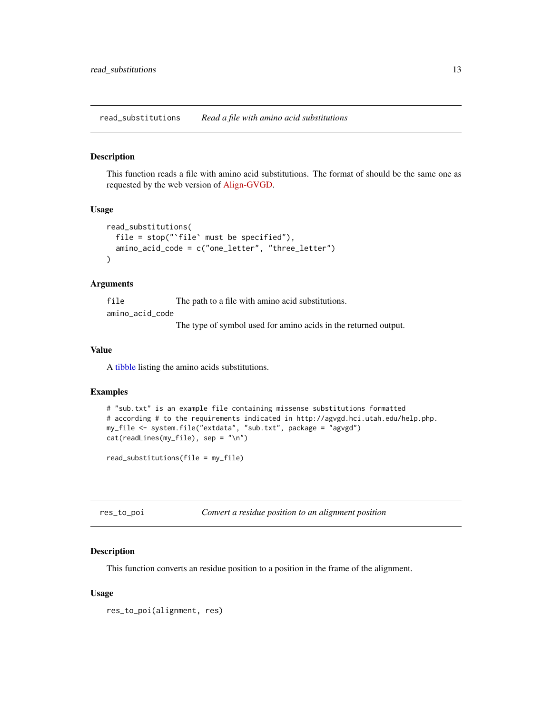<span id="page-12-0"></span>read\_substitutions *Read a file with amino acid substitutions*

### Description

This function reads a file with amino acid substitutions. The format of should be the same one as requested by the web version of [Align-GVGD.](http://agvgd.hci.utah.edu/help.php)

### Usage

```
read_substitutions(
  file = stop("`file` must be specified"),
  amino_acid_code = c("one_letter", "three_letter")
\lambda
```
### Arguments

file The path to a file with amino acid substitutions. amino\_acid\_code

The type of symbol used for amino acids in the returned output.

#### Value

A [tibble](#page-0-0) listing the amino acids substitutions.

### Examples

```
# "sub.txt" is an example file containing missense substitutions formatted
# according # to the requirements indicated in http://agvgd.hci.utah.edu/help.php.
my_file <- system.file("extdata", "sub.txt", package = "agvgd")
cat(readLines(my_file), sep = "\n")
```
read\_substitutions(file = my\_file)

| res_to_poi | Convert a residue position to an alignment position |  |  |  |
|------------|-----------------------------------------------------|--|--|--|
|------------|-----------------------------------------------------|--|--|--|

### Description

This function converts an residue position to a position in the frame of the alignment.

### Usage

```
res_to_poi(alignment, res)
```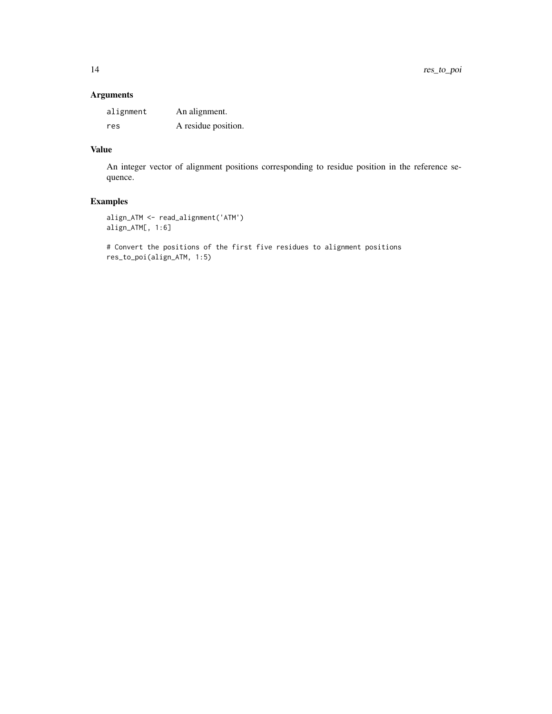### Arguments

| alignment | An alignment.       |
|-----------|---------------------|
| res       | A residue position. |

### Value

An integer vector of alignment positions corresponding to residue position in the reference sequence.

### Examples

```
align_ATM <- read_alignment('ATM')
align_ATM[, 1:6]
```
# Convert the positions of the first five residues to alignment positions res\_to\_poi(align\_ATM, 1:5)